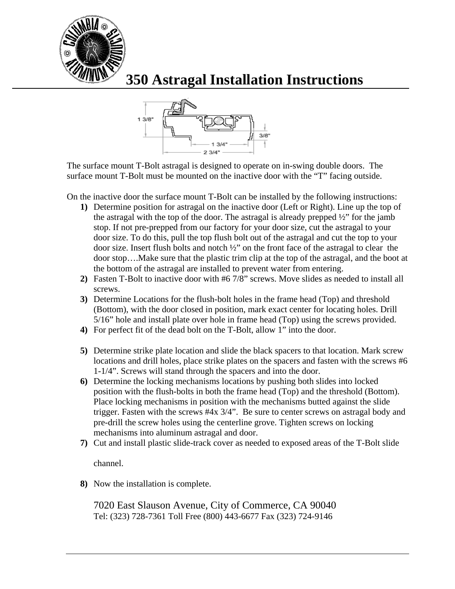

## **350 Astragal Installation Instructions**



The surface mount T-Bolt astragal is designed to operate on in-swing double doors. The surface mount T-Bolt must be mounted on the inactive door with the "T" facing outside.

On the inactive door the surface mount T-Bolt can be installed by the following instructions:

- **1)** Determine position for astragal on the inactive door (Left or Right). Line up the top of the astragal with the top of the door. The astragal is already prepped ½" for the jamb stop. If not pre-prepped from our factory for your door size, cut the astragal to your door size. To do this, pull the top flush bolt out of the astragal and cut the top to your door size. Insert flush bolts and notch ½" on the front face of the astragal to clear the door stop….Make sure that the plastic trim clip at the top of the astragal, and the boot at the bottom of the astragal are installed to prevent water from entering.
- **2)** Fasten T-Bolt to inactive door with #6 7/8" screws. Move slides as needed to install all screws.
- **3)** Determine Locations for the flush-bolt holes in the frame head (Top) and threshold (Bottom), with the door closed in position, mark exact center for locating holes. Drill 5/16" hole and install plate over hole in frame head (Top) using the screws provided.
- **4)** For perfect fit of the dead bolt on the T-Bolt, allow 1" into the door.
- **5)** Determine strike plate location and slide the black spacers to that location. Mark screw locations and drill holes, place strike plates on the spacers and fasten with the screws #6 1-1/4". Screws will stand through the spacers and into the door.
- **6)** Determine the locking mechanisms locations by pushing both slides into locked position with the flush-bolts in both the frame head (Top) and the threshold (Bottom). Place locking mechanisms in position with the mechanisms butted against the slide trigger. Fasten with the screws #4x 3/4". Be sure to center screws on astragal body and pre-drill the screw holes using the centerline grove. Tighten screws on locking mechanisms into aluminum astragal and door.
- **7)** Cut and install plastic slide-track cover as needed to exposed areas of the T-Bolt slide

channel.

**8)** Now the installation is complete.

7020 East Slauson Avenue, City of Commerce, CA 90040 Tel: (323) 728-7361 Toll Free (800) 443-6677 Fax (323) 724-9146